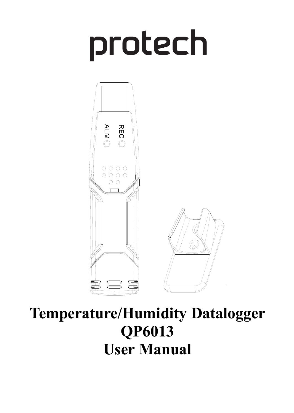# protech



# **Temperature/Humidity Datalogger QP6013**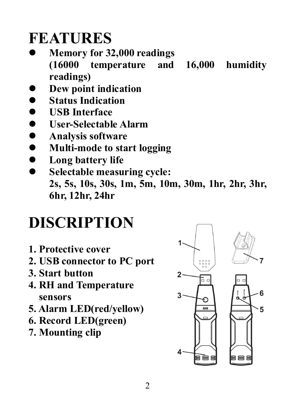### **FEATURES**

- l **Memory for 32,000 readings (16000 temperature and 16,000 humidity readings)**
- l **Dew point indication**
- **Status Indication**
- l **USB Interface**
- l **User-Selectable Alarm**
- **•** Analysis software
- l **Multi-mode to start logging**
- $\bullet$  Long battery life
- l **Selectable measuring cycle: 2s, 5s, 10s, 30s, 1m, 5m, 10m, 30m, 1hr, 2hr, 3hr, 6hr, 12hr, 24hr**

# **DISCRIPTION**

- **1. Protective cover**
- **2. USB connector to PC port**
- **3. Start button**
- **4. RH and Temperature sensors**
- **5. Alarm LED(red/yellow)**
- **6. Record LED(green)**
- **7. Mounting clip**

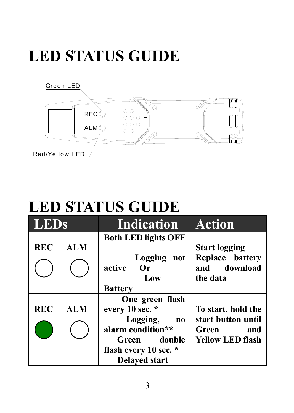# **LED STATUS GUIDE**



## **LED STATUS GUIDE**

| <b>LEDs</b> |            | <b>Indication</b>                                                   | <b>Action</b>                                                       |
|-------------|------------|---------------------------------------------------------------------|---------------------------------------------------------------------|
| <b>REC</b>  | <b>ALM</b> | <b>Both LED lights OFF</b><br>Logging<br>not<br>active<br>0r<br>Low | <b>Start logging</b><br>Replace battery<br>and download<br>the data |
| <b>REC</b>  | <b>ALM</b> | <b>Battery</b><br>One green flash<br>every 10 sec. *                | To start, hold the                                                  |
|             |            | Logging,<br>no<br>alarm condition**<br>double<br>Green              | start button until<br>Green<br>and<br><b>Yellow LED flash</b>       |
|             |            | flash every 10 sec. *<br><b>Delaved start</b>                       |                                                                     |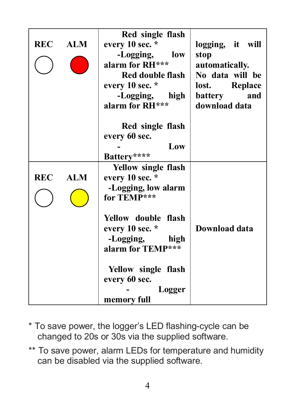| <b>REC</b> | <b>ALM</b> | Red single flash<br>every 10 sec. *<br>-Logging,<br>low<br>alarm for RH***<br>Red double flash<br>every 10 sec. *<br>-Logging, high<br>alarm for RH*** | logging, it will<br>stop<br>automatically.<br>No data will be<br>lost. Replace<br>battery<br>and<br>download data |
|------------|------------|--------------------------------------------------------------------------------------------------------------------------------------------------------|-------------------------------------------------------------------------------------------------------------------|
|            |            | Red single flash                                                                                                                                       |                                                                                                                   |
|            |            | every 60 sec.<br>Low                                                                                                                                   |                                                                                                                   |
|            |            | Battery****                                                                                                                                            |                                                                                                                   |
| <b>REC</b> | <b>ALM</b> | <b>Yellow single flash</b><br>every 10 sec. *<br>-Logging, low alarm<br>for TEMP***                                                                    |                                                                                                                   |
|            |            | Yellow double flash<br>every 10 sec. *<br>-Logging,<br>high<br>alarm for TEMP***                                                                       | Download data                                                                                                     |
|            |            | Yellow single flash<br>every 60 sec.<br>Logger<br>memory full                                                                                          |                                                                                                                   |

- \* To save power, the logger's LED flashing-cycle can be changed to 20s or 30s via the supplied software.
- \*\* To save power, alarm LEDs for temperature and humidity can be disabled via the supplied software.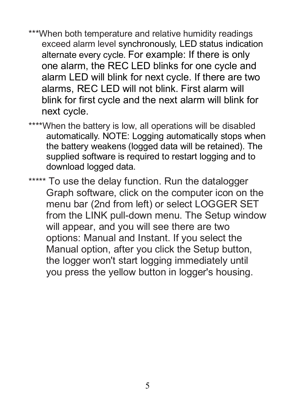- \*\*\*When both temperature and relative humidity readings exceed alarm level synchronously, LED status indication alternate every cycle. For example: If there is only one alarm, the REC LED blinks for one cycle and alarm LED will blink for next cycle. If there are two alarms, REC LED will not blink. First alarm will blink for first cycle and the next alarm will blink for next cycle.
- \*\*\*\*When the battery is low, all operations will be disabled automatically. NOTE: Logging automatically stops when the battery weakens (logged data will be retained). The supplied software is required to restart logging and to download logged data.

\*\*\*\*\* To use the delay function. Run the datalogger Graph software, click on the computer icon on the menu bar (2nd from left) or select LOGGER SET from the LINK pull-down menu. The Setup window will appear, and you will see there are two options: Manual and Instant. If you select the Manual option, after you click the Setup button, the logger won't start logging immediately until you press the yellow button in logger's housing.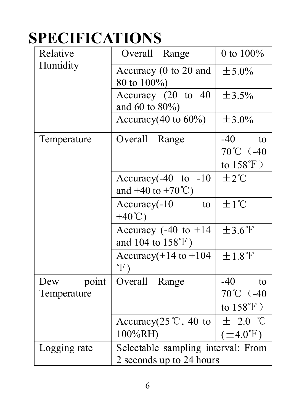### **SPECIFICATIONS**

| Relative                    | Overall<br>Range                                                 | 0 to 100%                                               |
|-----------------------------|------------------------------------------------------------------|---------------------------------------------------------|
| Humidity                    | Accuracy (0 to 20 and<br>80 to 100%)                             | ± 5.0%                                                  |
|                             | Accuracy (20 to 40<br>and 60 to 80%)                             | ±3.5%                                                   |
|                             | Accuracy $(40 \text{ to } 60\%)$                                 | $+3.0\%$                                                |
| Temperature                 | Overall Range                                                    | -40<br>to<br>70℃ (-40<br>to $158^{\circ}$ F)            |
|                             | Accuracy $(-40 \text{ to } -10$<br>and $+40$ to $+70^{\circ}$ C) | $±2^{\circ}C$                                           |
|                             | Accuracy(-10<br>to<br>$+40^{\circ}$ C)                           | $\pm 1^{\circ}C$                                        |
|                             | Accuracy $(-40 \text{ to } +14)$<br>and 104 to 158°F)            | $\pm 3.6^{\circ}$ F                                     |
|                             | Accuracy $(+14$ to $+104$<br>$\mathcal{F}$ )                     | ±1.8°F                                                  |
| point<br>Dew<br>Temperature | Overall Range                                                    | -40<br>$\mathsf{to}$<br>70℃ (-40<br>to $158^{\circ}$ F) |
|                             | Accuracy $(25^{\circ}\text{C}, 40^{\circ}\text{to})$<br>100%RH)  | $\pm$ 2.0 °C<br>$(\pm 4.0^{\circ}F)$                    |
| Logging rate                | Selectable sampling interval: From<br>2 seconds up to 24 hours   |                                                         |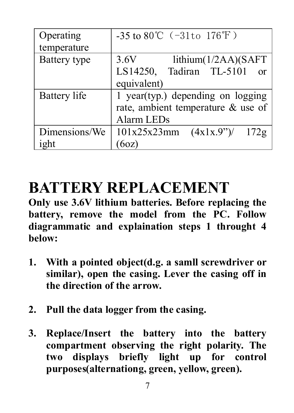| Operating     | -35 to 80°C $(-31t0 176°F)$                      |
|---------------|--------------------------------------------------|
| temperature   |                                                  |
| Battery type  | 3.6V<br>lithium(1/2AA)(SAFT)                     |
|               | LS14250, Tadiran TL-5101<br>$\alpha$             |
|               | equivalent)                                      |
| Battery life  | 1 year(typ.) depending on logging                |
|               | rate, ambient temperature & use of               |
|               | Alarm LEDs                                       |
| Dimensions/We | $101x25x23mm$ $(4x1x.9^{\prime\prime})/$<br>172g |
| ight          | 60Z)                                             |

#### **BATTERY REPLACEMENT**

**Only use 3.6V lithium batteries. Before replacing the battery, remove the model from the PC. Follow diagrammatic and explaination steps 1 throught 4 below:**

- **1. With a pointed object(d.g. a samll screwdriver or similar), open the casing. Lever the casing off in the direction of the arrow.**
- **2. Pull the data logger from the casing.**
- **3. Replace/Insert the battery into the battery compartment observing the right polarity. The two displays briefly light up for control purposes(alternationg, green, yellow, green).**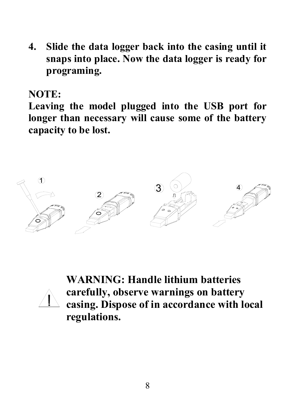**4. Slide the data logger back into the casing until it snaps into place. Now the data logger is ready for programing.**

**NOTE:**

**Leaving the model plugged into the USB port for longer than necessary will cause some of the battery capacity to be lost.**



**WARNING: Handle lithium batteries carefully, observe warnings on battery casing. Dispose of in accordance with local regulations.**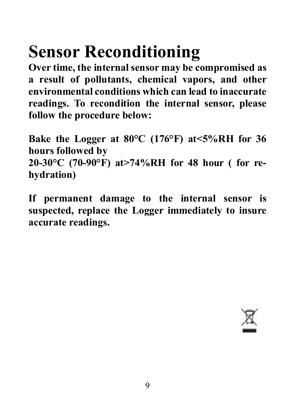# **Sensor Reconditioning**

**Over time, the internal sensor may be compromised as a result of pollutants, chemical vapors, and other environmental conditions which can lead to inaccurate readings. To recondition the internal sensor, please follow the procedure below:**

**Bake the Logger at 80°C (176°F) at<5%RH for 36 hours followed by 20-30°C (70-90°F) at>74%RH for 48 hour ( for rehydration)**

**If permanent damage to the internal sensor is suspected, replace the Logger immediately to insure accurate readings.**